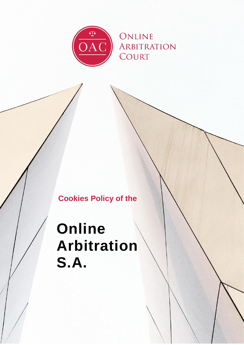

## **Cookies Policy of the**

# **Online Arbitration S.A.**

0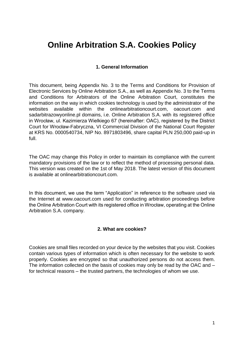### **Online Arbitration S.A. Cookies Policy**

#### **1. General Information**

This document, being Appendix No. 3 to the Terms and Conditions for Provision of Electronic Services by Online Arbitration S.A., as well as Appendix No. 3 to the Terms and Conditions for Arbitrators of the Online Arbitration Court, constitutes the information on the way in which cookies technology is used by the administrator of the websites available within the onlinearbitrationcourt.com, oacourt.com and sadarbitrazowyonline.pl domains, i.e. Online Arbitration S.A. with its registered office in Wrocław, ul. Kazimierza Wielkiego 67 (hereinafter: OAC), registered by the District Court for Wrocław-Fabryczna, VI Commercial Division of the National Court Register at KRS No. 0000540734, NIP No. 8971803496, share capital PLN 250,000 paid-up in full.

The OAC may change this Policy in order to maintain its compliance with the current mandatory provisions of the law or to reflect the method of processing personal data. This version was created on the 1st of May 2018. The latest version of this document is available at onlinearbitrationcourt.com.

In this document, we use the term "Application" in reference to the software used via the Internet at www.oacourt.com used for conducting arbitration proceedings before the Online Arbitration Court with its registered office in Wrocław, operating at the Online Arbitration S.A. company.

#### **2. What are cookies?**

Cookies are small files recorded on your device by the websites that you visit. Cookies contain various types of information which is often necessary for the website to work properly. Cookies are encrypted so that unauthorized persons do not access them. The information collected on the basis of cookies may only be read by the OAC and – for technical reasons – the trusted partners, the technologies of whom we use.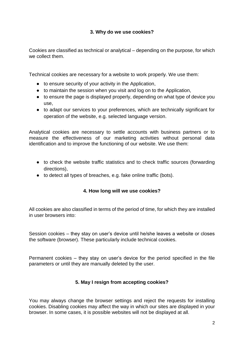#### **3. Why do we use cookies?**

Cookies are classified as technical or analytical – depending on the purpose, for which we collect them.

Technical cookies are necessary for a website to work properly. We use them:

- to ensure security of your activity in the Application,
- to maintain the session when you visit and log on to the Application,
- to ensure the page is displayed properly, depending on what type of device you use,
- to adapt our services to your preferences, which are technically significant for operation of the website, e.g. selected language version.

Analytical cookies are necessary to settle accounts with business partners or to measure the effectiveness of our marketing activities without personal data identification and to improve the functioning of our website. We use them:

- to check the website traffic statistics and to check traffic sources (forwarding directions),
- to detect all types of breaches, e.g. fake online traffic (bots).

#### **4. How long will we use cookies?**

All cookies are also classified in terms of the period of time, for which they are installed in user browsers into:

Session cookies – they stay on user's device until he/she leaves a website or closes the software (browser). These particularly include technical cookies.

Permanent cookies – they stay on user's device for the period specified in the file parameters or until they are manually deleted by the user.

#### **5. May I resign from accepting cookies?**

You may always change the browser settings and reject the requests for installing cookies. Disabling cookies may affect the way in which our sites are displayed in your browser. In some cases, it is possible websites will not be displayed at all.